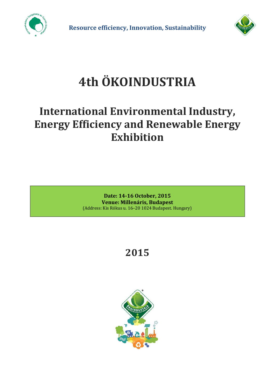



# **4th ÖKOINDUSTRIA**

### **International Environmental Industry, Energy Efficiency and Renewable Energy Exhibition**

**Date: 14-16 October, 2015 Venue: Millenáris, Budapest** (Address: Kis Rókus u. 16–20 1024 Budapest. Hungary)

## **2015**

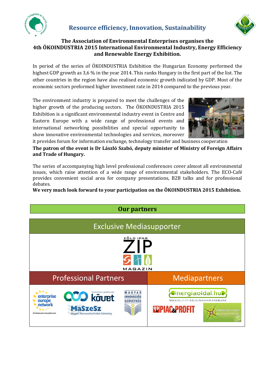



#### **The Association of Environmental Enterprises organises the 4th ÖKOINDUSTRIA 2015 International Environmental Industry, Energy Efficiency and Renewable Energy Exhibition.**

In period of the series of ÖKOINDUSTRIA Exhibition the Hungarian Economy performed the highest GDP growth as 3,6 % in the year 2014. This ranks Hungary in the first part of the list. The other countries in the region have also realised economic growth indicated by GDP. Most of the economic sectors preformed higher investment rate in 2014 compared to the previous year.

The environment industry is prepared to meet the challenges of the higher growth of the producing sectors. The ÖKOINDUSTRIA 2015 Exhibition is a significant environmental industry event in Centre and Eastern Europe with a wide range of professional events and international networking possibilities and special opportunity to show innovative environmental technologies and services, moreover



it provides forum for information exchange, technology transfer and business cooperation

**The patron of the event is Dr László Szabó, deputy minister of Ministry of Foreign Affairs and Trade of Hungary.** 

The series of accompanying high level professional conferences cover almost all environmental issues, which raise attention of a wide range of environmental stakeholders. The ECO-Café provides convenient social area for company presentations, B2B talks and for professional debates.

**We very much look forward to your participation on the ÖKOINDUSTRIA 2015 Exhibition.** 

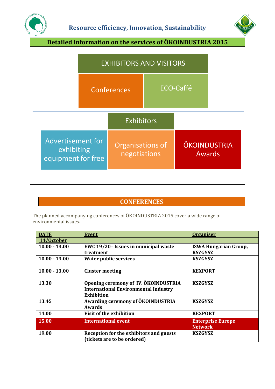



**Detailed information on the services of ÖKOINDUSTRIA 2015** 



### **CONFERENCES**

The planned accompanying conferences of ÖKOINDUSTRIA 2015 cover a wide range of environmental issues.

| <b>DATE</b>     | <b>Event</b>                                                                                             | <b>Organiser</b>                           |
|-----------------|----------------------------------------------------------------------------------------------------------|--------------------------------------------|
| 14/October      |                                                                                                          |                                            |
| $10.00 - 13.00$ | EWC 19/20- Issues in municipal waste                                                                     | <b>ISWA Hungarian Group,</b>               |
|                 | treatment                                                                                                | <b>KSZGYSZ</b>                             |
| $10.00 - 13.00$ | <b>Water public services</b>                                                                             | <b>KSZGYSZ</b>                             |
| $10.00 - 13.00$ | <b>Cluster meeting</b>                                                                                   | <b>KEXPORT</b>                             |
| 13.30           | Opening ceremony of IV. ÖKOINDUSTRIA<br><b>International Environmental Industry</b><br><b>Exhibition</b> | <b>KSZGYSZ</b>                             |
| 13.45           | Awarding ceremony of ÖKOINDUSTRIA<br><b>Awards</b>                                                       | <b>KSZGYSZ</b>                             |
| 14.00           | Visit of the exhibition                                                                                  | <b>KEXPORT</b>                             |
| 15.00           | <b>International event</b>                                                                               | <b>Enterprise Europe</b><br><b>Network</b> |
| 19.00           | Reception for the exhibitors and guests<br>(tickets are to be ordered)                                   | <b>KSZGYSZ</b>                             |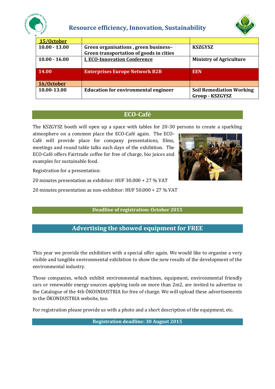

#### **Resource efficiency, Innovation, Sustainability**



| 15/October      |                                                                                 |                                                           |
|-----------------|---------------------------------------------------------------------------------|-----------------------------------------------------------|
| $10.00 - 13.00$ | Green organisations, green business-<br>Green transportation of goods in cities | <b>KSZGYSZ</b>                                            |
| $10.00 - 16.00$ | <b>I. ECO-Innovation Conference</b>                                             | <b>Ministry of Agriculture</b>                            |
| 14.00           | <b>Enterprises Europe Network B2B</b>                                           | <b>EEN</b>                                                |
| 16/October      |                                                                                 |                                                           |
| 10.00-13.00     | <b>Education for environmental engineer</b>                                     | <b>Soil Remediation Working</b><br><b>Group - KSZGYSZ</b> |

#### **ECO-Café**

The KSZGYSZ booth will open up a space with tables for 20-30 persons to create a sparkling

atmosphere on a common place the ECO-Café again. The ECO-Café will provide place for company presentations, films, meetings and round table talks each days of the exhibition. The ECO-Café offers Fairtrade coffee for free of charge, bio juices and examples for sustainable food.



Registration for a presentation:

20 minutes presentation as exhibitor: HUF 30.000 + 27 % VAT

20 minutes presentation as non-exhibitor: HUF 50.000 + 27 % VAT

**Deadline of registration: October 2015**

#### **Advertising the showed equipment for FREE**

This year we provide the exhibitors with a special offer again. We would like to organise a very visible and tangible environmental exhibition to show the new results of the development of the environmental industry.

Those companies, which exhibit environmental machines, equipment, environmental friendly cars or renewable energy sources applying tools on more than 2m2, are invited to advertise in the Catalogue of the 4th ÖKOINDUSTRIA for free of charge. We will upload these advertisements to the ÖKONDUSTRIA website, too.

For registration please provide us with a photo and a short description of the equipment, etc.

**Registration deadline: 30 August 2015**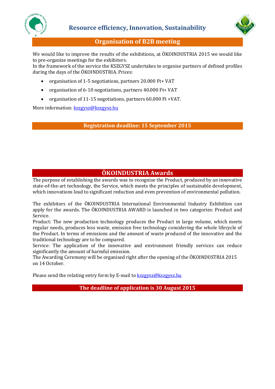



#### **Organisation of B2B meeting**

We would like to improve the results of the exhibitions, at ÖKOINDUSTRIA 2015 we would like to pre-organize meetings for the exhibitors.

In the framework of the service the KSZGYSZ undertakes to organise partners of defined profiles during the days of the ÖKOINDUSTRIA. Prices:

- organisation of 1-5 negotiations, partners 20.000 Ft+ VAT
- organisation of 6-10 negotiations, partners 40.000 Ft+ VAT
- organisation of 11-15 negotiations, partners 60.000 Ft +VAT.

More information: [kszgysz@kszgysz.hu](mailto:kszgysz@kszgysz.hu)

**Registration deadline: 15 September 2015**

#### **ÖKOINDUSTRIA Awards**

The purpose of establishing the awards was to recognise the Product, produced by an innovative state-of-the-art technology, the Service, which meets the principles of sustainable development, which innovations lead to significant reduction and even prevention of environmental pollution.

The exhibitors of the ÖKOINDUSTRIA International Environmental Industry Exhibition can apply for the awards. The ÖKOINDUSTRIA AWARD is launched in two categories: Product and Service.

Product: The new production technology produces the Product in large volume, which meets regular needs, produces less waste, emission free technology considering the whole lifecycle of the Product. In terms of emissions and the amount of waste produced of the innovative and the traditional technology are to be compared.

Service: The application of the innovative and environment friendly services can reduce significantly the amount of harmful emission.

The Awarding Ceremony will be organised right after the opening of the ÖKOINDUSTRIA 2015 on 14 October.

Please send the relating entry form by E-mail to **kszgysz@kszgysz.hu** 

**The deadline of application is 30 August 2015**